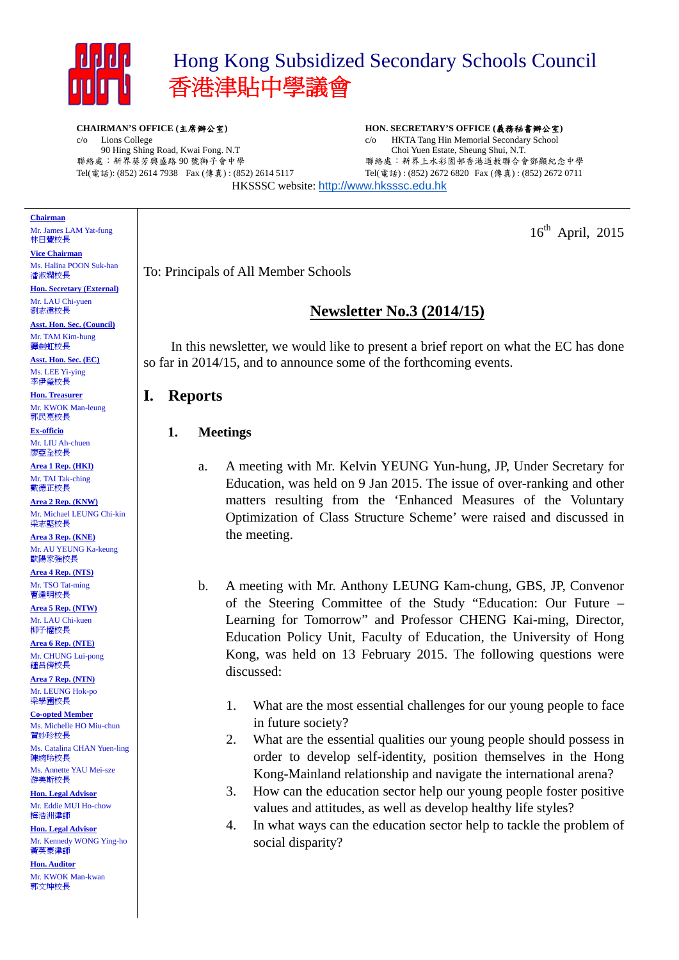

c/o Lions College

# Hong Kong Subsidized Secondary Schools Council 香港津貼中學議會

**CHAIRMAN'S OFFICE (**主席辦公室**)** 

90 Hing Shing Road, Kwai Fong. N.T 聯絡處:新界葵芳興盛路 90 號獅子會中學

**HON. SECRETARY'S OFFICE (**義務秘書辦公室**)**  c/o HKTA Tang Hin Memorial Secondary School Choi Yuen Estate, Sheung Shui, N.T. 聯絡處:新界上水彩園邨香港道教聯合會鄧顯紀念中學 Tel(電話) : (852) 2672 6820 Fax (傳真) : (852) 2672 0711

Tel(電話): (852) 2614 7938 Fax (傳真) : (852) 2614 5117 HKSSSC website: http://www.hksssc.edu.hk

#### **Chairman**

Mr. James LAM Yat-fung 林日豐校長

**Vice Chairman**  Ms. Halina POON Suk-han 潘淑嫻校長

**Hon. Secretary (External)**  Mr. LAU Chi-yuen 劉志遠校長

**Asst. Hon. Sec. (Council)**  Mr. TAM Kim-hung 譚劍虹校長

**Asst. Hon. Sec. (EC)**  Ms. LEE Yi-ying 李伊瑩校長

**Hon. Treasurer**  Mr. KWOK Man-leung 郭民亮校長

**Ex-officio**  Mr. LIU Ah-chuen 廖亞全校長

**Area 1 Rep. (HKI)**  Mr. TAI Tak-ching 戴德正校長

**Area 2 Rep. (KNW)**  Mr. Michael LEUNG Chi-kin 梁志堅校長

**Area 3 Rep. (KNE)**  Mr. AU YEUNG Ka-keung 歐陽家強校長

**Area 4 Rep. (NTS)**  Mr. TSO Tat-ming 曹達明校長

**Area 5 Rep. (NTW)**  Mr. LAU Chi-kuen 柳子權校長

**Area 6 Rep. (NTE)**  Mr. CHUNG Lui-pong 鍾呂傍校長

**Area 7 Rep. (NTN)**  Mr. LEUNG Hok-po 梁學圃校長

**Co-opted Member**  Ms. Michelle HO Miu-chun 賀妙珍校長

Ms. Catalina CHAN Yuen-ling 陳婉玲校長 Ms. Annette YAU Mei-sze

游美斯校長 **Hon. Legal Advisor** 

Mr. Eddie MUI Ho-chow 梅浩洲律師

**Hon. Legal Advisor**  Mr. Kennedy WONG Ying-ho 黃英豪律師

**Hon. Auditor**  Mr. KWOK Man-kwan 郭文坤校長

 $16^{\text{th}}$  April, 2015

To: Principals of All Member Schools

## **Newsletter No.3 (2014/15)**

In this newsletter, we would like to present a brief report on what the EC has done so far in 2014/15, and to announce some of the forthcoming events.

## **I. Reports**

### **1. Meetings**

- a. A meeting with Mr. Kelvin YEUNG Yun-hung, JP, Under Secretary for Education, was held on 9 Jan 2015. The issue of over-ranking and other matters resulting from the 'Enhanced Measures of the Voluntary Optimization of Class Structure Scheme' were raised and discussed in the meeting.
- b. A meeting with Mr. Anthony LEUNG Kam-chung, GBS, JP, Convenor of the Steering Committee of the Study "Education: Our Future – Learning for Tomorrow" and Professor CHENG Kai-ming, Director, Education Policy Unit, Faculty of Education, the University of Hong Kong, was held on 13 February 2015. The following questions were discussed:
	- 1. What are the most essential challenges for our young people to face in future society?
	- 2. What are the essential qualities our young people should possess in order to develop self-identity, position themselves in the Hong Kong-Mainland relationship and navigate the international arena?
	- 3. How can the education sector help our young people foster positive values and attitudes, as well as develop healthy life styles?
	- 4. In what ways can the education sector help to tackle the problem of social disparity?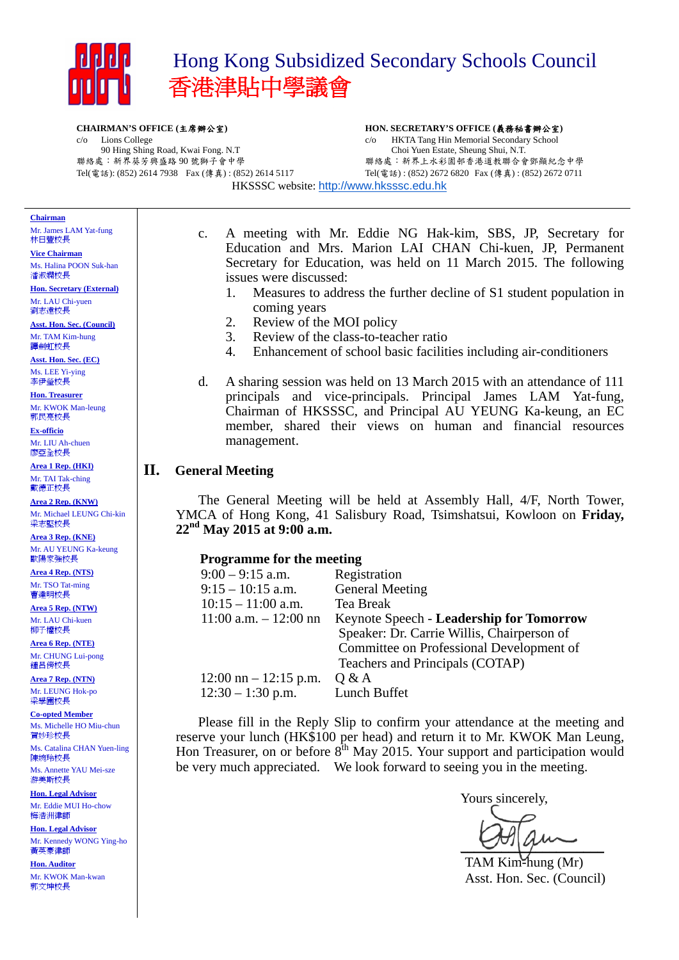

# Hong Kong Subsidized Secondary Schools Council 香港津貼中學議會

#### **CHAIRMAN'S OFFICE (**主席辦公室**)**

# **HON. SECRETARY'S OFFICE (**義務秘書辦公室**)**

c/o Lions College 90 Hing Shing Road, Kwai Fong. N.T 聯絡處:新界葵芳興盛路 90 號獅子會中學 Tel(電話): (852) 2614 7938 Fax (傳真) : (852) 2614 5117 HKSSSC website: http://www.hksssc.edu.hk

c/o HKTA Tang Hin Memorial Secondary School Choi Yuen Estate, Sheung Shui, N.T. 聯絡處:新界上水彩園邨香港道教聯合會鄧顯紀念中學 Tel(電話) : (852) 2672 6820 Fax (傳真) : (852) 2672 0711

## **Chairman**

Mr. James LAM Yat-fung 林日豐校長

**Vice Chairman**  Ms. Halina POON Suk-han 潘淑嫻校長

**Hon. Secretary (External)**  Mr. LAU Chi-yuen 劉志遠校長

**Asst. Hon. Sec. (Council)**  Mr. TAM Kim-hung 譚劍虹校長

**Asst. Hon. Sec. (EC)**  Ms. LEE Yi-ying 李伊瑩校長

**Hon. Treasurer**  Mr. KWOK Man-leung 郭民亮校長

**Ex-officio**  Mr. LIU Ah-chuen 廖亞全校長

**Area 1 Rep. (HKI)**  Mr. TAI Tak-ching 戴德正校長

**Area 2 Rep. (KNW)**  Mr. Michael LEUNG Chi-kin 梁志堅校長

**Area 3 Rep. (KNE)**  Mr. AU YEUNG Ka-keung 歐陽家強校長

**Area 4 Rep. (NTS)**  Mr. TSO Tat-ming 曹達明校長

**Area 5 Rep. (NTW)**  Mr. LAU Chi-kuen 柳子權校長

**Area 6 Rep. (NTE)**  Mr. CHUNG Lui-pong 鍾呂傍校長

**Area 7 Rep. (NTN)**  Mr. LEUNG Hok-po 梁學圃校長

**Co-opted Member**  Ms. Michelle HO Miu-chun 賀妙珍校長

Ms. Catalina CHAN Yuen-ling 陳婉玲校長 Ms. Annette YAU Mei-sze

游美斯校長 **Hon. Legal Advisor** 

Mr. Eddie MUI Ho-chow 梅浩洲律師

**Hon. Legal Advisor**  Mr. Kennedy WONG Ying-ho 黃英豪律師

**Hon. Auditor**  Mr. KWOK Man-kwan 郭文坤校長

- c. A meeting with Mr. Eddie NG Hak-kim, SBS, JP, Secretary for Education and Mrs. Marion LAI CHAN Chi-kuen, JP, Permanent Secretary for Education, was held on 11 March 2015. The following issues were discussed:
	- 1. Measures to address the further decline of S1 student population in coming years
	- 2. Review of the MOI policy
	- 3. Review of the class-to-teacher ratio
	- 4. Enhancement of school basic facilities including air-conditioners
- d. A sharing session was held on 13 March 2015 with an attendance of 111 principals and vice-principals. Principal James LAM Yat-fung, Chairman of HKSSSC, and Principal AU YEUNG Ka-keung, an EC member, shared their views on human and financial resources management.

### **II. General Meeting**

 The General Meeting will be held at Assembly Hall, 4/F, North Tower, YMCA of Hong Kong, 41 Salisbury Road, Tsimshatsui, Kowloon on **Friday, 22nd May 2015 at 9:00 a.m.**

| <b>Programme for the meeting</b>        |                                                 |  |  |  |  |  |
|-----------------------------------------|-------------------------------------------------|--|--|--|--|--|
| $9:00 - 9:15$ a.m.                      | Registration                                    |  |  |  |  |  |
| $9:15 - 10:15$ a.m.                     | <b>General Meeting</b>                          |  |  |  |  |  |
| $10:15 - 11:00$ a.m.                    | <b>Tea Break</b>                                |  |  |  |  |  |
| $11:00$ a.m. $-12:00$ nn                | <b>Keynote Speech - Leadership for Tomorrow</b> |  |  |  |  |  |
|                                         | Speaker: Dr. Carrie Willis, Chairperson of      |  |  |  |  |  |
|                                         | Committee on Professional Development of        |  |  |  |  |  |
|                                         | Teachers and Principals (COTAP)                 |  |  |  |  |  |
| $12:00 \text{ nn} - 12:15 \text{ p.m.}$ | Q & A                                           |  |  |  |  |  |
| $12:30 - 1:30$ p.m.                     | Lunch Buffet                                    |  |  |  |  |  |

Please fill in the Reply Slip to confirm your attendance at the meeting and reserve your lunch (HK\$100 per head) and return it to Mr. KWOK Man Leung, Hon Treasurer, on or before  $8<sup>th</sup>$  May 2015. Your support and participation would be very much appreciated. We look forward to seeing you in the meeting.

Yours sincerely,

 $\bigcup_{i=1}^n \bigcup_{i=1}^n \bigcup_{i=1}^n \bigcup_{i=1}^n \bigcup_{i=1}^n \bigcup_{i=1}^n \bigcup_{i=1}^n \bigcup_{i=1}^n \bigcup_{i=1}^n \bigcup_{i=1}^n \bigcup_{i=1}^n \bigcup_{i=1}^n \bigcup_{i=1}^n \bigcup_{i=1}^n \bigcup_{i=1}^n \bigcup_{i=1}^n \bigcup_{i=1}^n \bigcup_{i=1}^n \bigcup_{i=1}^n \bigcup_{i=1}^n \bigcup_{i=1}^n \bigcup_{i=1}^n$ 

TAM Kim-hung (Mr) Asst. Hon. Sec. (Council)